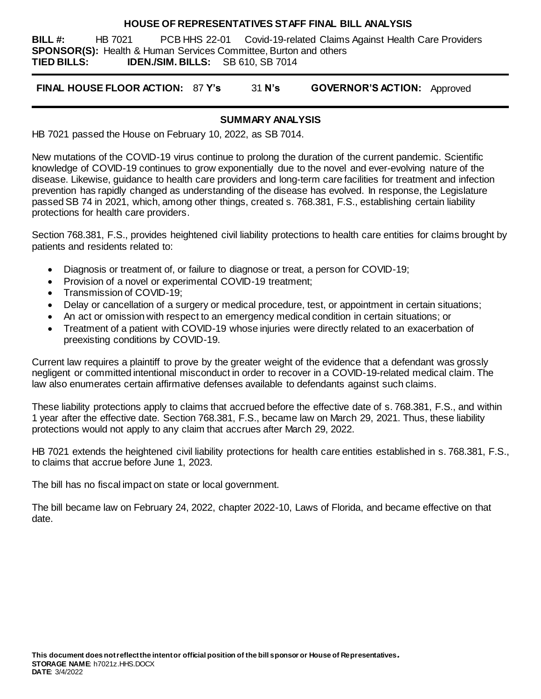### **HOUSE OF REPRESENTATIVES STAFF FINAL BILL ANALYSIS**

**BILL #:** HB 7021 PCB HHS 22-01 Covid-19-related Claims Against Health Care Providers **SPONSOR(S):** Health & Human Services Committee, Burton and others **TIED BILLS: IDEN./SIM. BILLS:** SB 610, SB 7014

**FINAL HOUSE FLOOR ACTION:** 87 **Y's** 31 **N's GOVERNOR'S ACTION:** Approved

### **SUMMARY ANALYSIS**

HB 7021 passed the House on February 10, 2022, as SB 7014.

New mutations of the COVID-19 virus continue to prolong the duration of the current pandemic. Scientific knowledge of COVID-19 continues to grow exponentially due to the novel and ever-evolving nature of the disease. Likewise, guidance to health care providers and long-term care facilities for treatment and infection prevention has rapidly changed as understanding of the disease has evolved. In response, the Legislature passed SB 74 in 2021, which, among other things, created s. 768.381, F.S., establishing certain liability protections for health care providers.

Section 768.381, F.S., provides heightened civil liability protections to health care entities for claims brought by patients and residents related to:

- Diagnosis or treatment of, or failure to diagnose or treat, a person for COVID-19;
- Provision of a novel or experimental COVID-19 treatment;
- Transmission of COVID-19:
- Delay or cancellation of a surgery or medical procedure, test, or appointment in certain situations;
- An act or omission with respect to an emergency medical condition in certain situations; or
- Treatment of a patient with COVID-19 whose injuries were directly related to an exacerbation of preexisting conditions by COVID-19.

Current law requires a plaintiff to prove by the greater weight of the evidence that a defendant was grossly negligent or committed intentional misconduct in order to recover in a COVID-19-related medical claim. The law also enumerates certain affirmative defenses available to defendants against such claims.

These liability protections apply to claims that accrued before the effective date of s. 768.381, F.S., and within 1 year after the effective date. Section 768.381, F.S., became law on March 29, 2021. Thus, these liability protections would not apply to any claim that accrues after March 29, 2022.

HB 7021 extends the heightened civil liability protections for health care entities established in s. 768.381, F.S., to claims that accrue before June 1, 2023.

The bill has no fiscal impact on state or local government.

The bill became law on February 24, 2022, chapter 2022-10, Laws of Florida, and became effective on that date.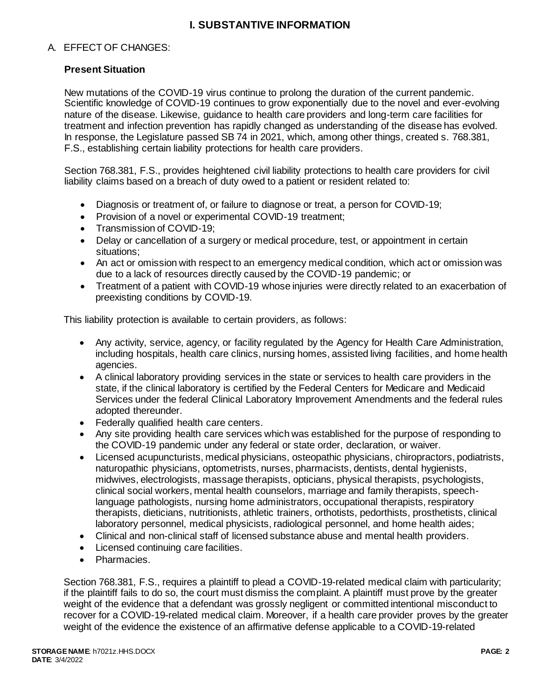# **I. SUBSTANTIVE INFORMATION**

# A. EFFECT OF CHANGES:

# **Present Situation**

New mutations of the COVID-19 virus continue to prolong the duration of the current pandemic. Scientific knowledge of COVID-19 continues to grow exponentially due to the novel and ever-evolving nature of the disease. Likewise, guidance to health care providers and long-term care facilities for treatment and infection prevention has rapidly changed as understanding of the disease has evolved. In response, the Legislature passed SB 74 in 2021, which, among other things, created s. 768.381, F.S., establishing certain liability protections for health care providers.

Section 768.381, F.S., provides heightened civil liability protections to health care providers for civil liability claims based on a breach of duty owed to a patient or resident related to:

- Diagnosis or treatment of, or failure to diagnose or treat, a person for COVID-19;
- Provision of a novel or experimental COVID-19 treatment:
- Transmission of COVID-19:
- Delay or cancellation of a surgery or medical procedure, test, or appointment in certain situations;
- An act or omission with respect to an emergency medical condition, which act or omission was due to a lack of resources directly caused by the COVID-19 pandemic; or
- Treatment of a patient with COVID-19 whose injuries were directly related to an exacerbation of preexisting conditions by COVID-19.

This liability protection is available to certain providers, as follows:

- Any activity, service, agency, or facility regulated by the Agency for Health Care Administration, including hospitals, health care clinics, nursing homes, assisted living facilities, and home health agencies.
- A clinical laboratory providing services in the state or services to health care providers in the state, if the clinical laboratory is certified by the Federal Centers for Medicare and Medicaid Services under the federal Clinical Laboratory Improvement Amendments and the federal rules adopted thereunder.
- Federally qualified health care centers.
- Any site providing health care services which was established for the purpose of responding to the COVID-19 pandemic under any federal or state order, declaration, or waiver.
- Licensed acupuncturists, medical physicians, osteopathic physicians, chiropractors, podiatrists, naturopathic physicians, optometrists, nurses, pharmacists, dentists, dental hygienists, midwives, electrologists, massage therapists, opticians, physical therapists, psychologists, clinical social workers, mental health counselors, marriage and family therapists, speechlanguage pathologists, nursing home administrators, occupational therapists, respiratory therapists, dieticians, nutritionists, athletic trainers, orthotists, pedorthists, prosthetists, clinical laboratory personnel, medical physicists, radiological personnel, and home health aides;
- Clinical and non-clinical staff of licensed substance abuse and mental health providers.
- Licensed continuing care facilities.
- Pharmacies.

Section 768.381, F.S., requires a plaintiff to plead a COVID-19-related medical claim with particularity; if the plaintiff fails to do so, the court must dismiss the complaint. A plaintiff must prove by the greater weight of the evidence that a defendant was grossly negligent or committed intentional misconduct to recover for a COVID-19-related medical claim. Moreover, if a health care provider proves by the greater weight of the evidence the existence of an affirmative defense applicable to a COVID-19-related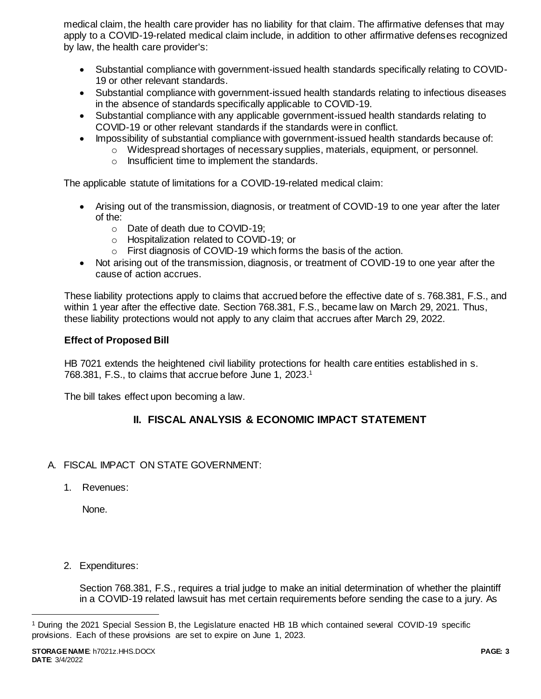medical claim, the health care provider has no liability for that claim. The affirmative defenses that may apply to a COVID-19-related medical claim include, in addition to other affirmative defenses recognized by law, the health care provider's:

- Substantial compliance with government-issued health standards specifically relating to COVID-19 or other relevant standards.
- Substantial compliance with government-issued health standards relating to infectious diseases in the absence of standards specifically applicable to COVID-19.
- Substantial compliance with any applicable government-issued health standards relating to COVID-19 or other relevant standards if the standards were in conflict.
- Impossibility of substantial compliance with government-issued health standards because of:
	- $\circ$  Widespread shortages of necessary supplies, materials, equipment, or personnel.
	- o Insufficient time to implement the standards.

The applicable statute of limitations for a COVID-19-related medical claim:

- Arising out of the transmission, diagnosis, or treatment of COVID-19 to one year after the later of the:
	- o Date of death due to COVID-19;
	- o Hospitalization related to COVID-19; or
	- o First diagnosis of COVID-19 which forms the basis of the action.
- Not arising out of the transmission, diagnosis, or treatment of COVID-19 to one year after the cause of action accrues.

These liability protections apply to claims that accrued before the effective date of s. 768.381, F.S., and within 1 year after the effective date. Section 768.381, F.S., became law on March 29, 2021. Thus, these liability protections would not apply to any claim that accrues after March 29, 2022.

# **Effect of Proposed Bill**

HB 7021 extends the heightened civil liability protections for health care entities established in s. 768.381, F.S., to claims that accrue before June 1, 2023. 1

The bill takes effect upon becoming a law.

# **II. FISCAL ANALYSIS & ECONOMIC IMPACT STATEMENT**

# A. FISCAL IMPACT ON STATE GOVERNMENT:

1. Revenues:

None.

2. Expenditures:

Section 768.381, F.S., requires a trial judge to make an initial determination of whether the plaintiff in a COVID-19 related lawsuit has met certain requirements before sending the case to a jury. As

l

<sup>1</sup> During the 2021 Special Session B, the Legislature enacted HB 1B which contained several COVID-19 specific provisions. Each of these provisions are set to expire on June 1, 2023.